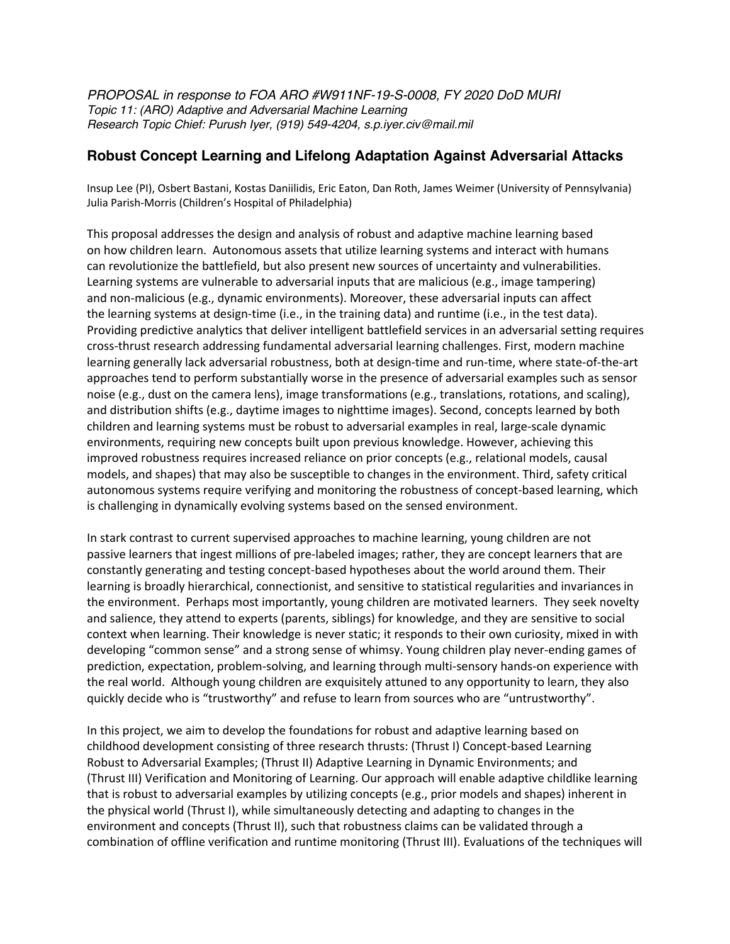*PROPOSAL in response to FOA ARO #W911NF-19-S-0008, FY 2020 DoD MURI Topic 11: (ARO) Adaptive and Adversarial Machine Learning Research Topic Chief: Purush Iyer, (919) 549-4204, s.p.iyer.civ@mail.mil*

## **Robust Concept Learning and Lifelong Adaptation Against Adversarial Attacks**

Insup Lee (PI), Osbert Bastani, Kostas Daniilidis, Eric Eaton, Dan Roth, James Weimer (University of Pennsylvania) Julia Parish-Morris (Children's Hospital of Philadelphia)

This proposal addresses the design and analysis of robust and adaptive machine learning based on how children learn. Autonomous assets that utilize learning systems and interact with humans can revolutionize the battlefield, but also present new sources of uncertainty and vulnerabilities. Learning systems are vulnerable to adversarial inputs that are malicious (e.g., image tampering) and non-malicious (e.g., dynamic environments). Moreover, these adversarial inputs can affect the learning systems at design-time (i.e., in the training data) and runtime (i.e., in the test data). Providing predictive analytics that deliver intelligent battlefield services in an adversarial setting requires cross-thrust research addressing fundamental adversarial learning challenges. First, modern machine learning generally lack adversarial robustness, both at design-time and run-time, where state-of-the-art approaches tend to perform substantially worse in the presence of adversarial examples such as sensor noise (e.g., dust on the camera lens), image transformations (e.g., translations, rotations, and scaling), and distribution shifts (e.g., daytime images to nighttime images). Second, concepts learned by both children and learning systems must be robust to adversarial examples in real, large-scale dynamic environments, requiring new concepts built upon previous knowledge. However, achieving this improved robustness requires increased reliance on prior concepts (e.g., relational models, causal models, and shapes) that may also be susceptible to changes in the environment. Third, safety critical autonomous systems require verifying and monitoring the robustness of concept-based learning, which is challenging in dynamically evolving systems based on the sensed environment.

In stark contrast to current supervised approaches to machine learning, young children are not passive learners that ingest millions of pre-labeled images; rather, they are concept learners that are constantly generating and testing concept-based hypotheses about the world around them. Their learning is broadly hierarchical, connectionist, and sensitive to statistical regularities and invariances in the environment. Perhaps most importantly, young children are motivated learners. They seek novelty and salience, they attend to experts (parents, siblings) for knowledge, and they are sensitive to social context when learning. Their knowledge is never static; it responds to their own curiosity, mixed in with developing "common sense" and a strong sense of whimsy. Young children play never-ending games of prediction, expectation, problem-solving, and learning through multi-sensory hands-on experience with the real world. Although young children are exquisitely attuned to any opportunity to learn, they also quickly decide who is "trustworthy" and refuse to learn from sources who are "untrustworthy".

In this project, we aim to develop the foundations for robust and adaptive learning based on childhood development consisting of three research thrusts: (Thrust I) Concept-based Learning Robust to Adversarial Examples; (Thrust II) Adaptive Learning in Dynamic Environments; and (Thrust III) Verification and Monitoring of Learning. Our approach will enable adaptive childlike learning that is robust to adversarial examples by utilizing concepts (e.g., prior models and shapes) inherent in the physical world (Thrust I), while simultaneously detecting and adapting to changes in the environment and concepts (Thrust II), such that robustness claims can be validated through a combination of offline verification and runtime monitoring (Thrust III). Evaluations of the techniques will